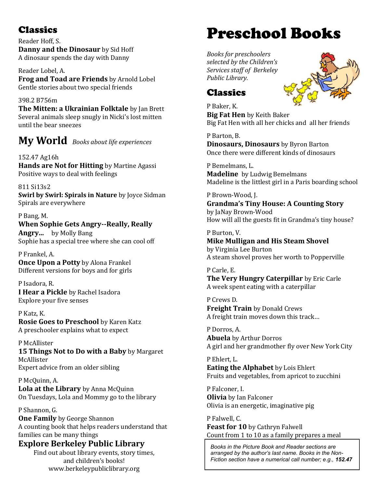Reader Hoff, S. **Danny and the Dinosaur** by Sid Hoff A dinosaur spends the day with Danny

Reader Lobel, A. **Frog and Toad are Friends** by Arnold Lobel Gentle stories about two special friends

398.2 B756m **The Mitten: a Ukrainian Folktale** by Jan Brett Several animals sleep snugly in Nicki's lost mitten until the bear sneezes

**My World** *Books about life experiences*

152.47 Ag16h **Hands are Not for Hitting** by Martine Agassi Positive ways to deal with feelings

811 Si13s2 **Swirl by Swirl: Spirals in Nature** by Joyce Sidman Spirals are everywhere

P Bang, M. **When Sophie Gets Angry--Really, Really Angry...** by Molly Bang Sophie has a special tree where she can cool off

P Frankel, A. **Once Upon a Potty** by Alona Frankel Different versions for [boys](https://encore.berkeley-public.org/iii/encore/record/C__Rb1521215?lang=eng) and for [girls](https://encore.berkeley-public.org/iii/encore/record/C__Rb1521216?lang=eng)

P Isadora, R. **I Hear a Pickle** by Rachel Isadora Explore your five senses

P Katz, K. **Rosie Goes to Preschool** by Karen Katz A preschooler explains what to expect

P McAllister **15 Things Not to Do with a Baby** by Margaret McAllister Expert advice from an older sibling

P McQuinn, A. **Lola at the Library** by Anna McQuinn On Tuesdays, Lola and Mommy go to the library

P Shannon, G. **One Family** by George Shannon A counting book that helps readers understand that families can be many things

### **Explore Berkeley Public Library**

Find out about library events, story times, and children's books! www.berkeleypubliclibrary.org

# Classics Preschool Books

*Books for preschoolers selected by the Children's Services staff of Berkeley Public Library.* 



## **Classics**

P Baker, K. **Big Fat Hen** by Keith Baker Big Fat Hen with all her chicks and all her friends

P Barton, B. **Dinosaurs, Dinosaurs** by Byron Barton Once there were different kinds of dinosaurs

P Bemelmans, L. **Madeline** by Ludwig Bemelmans Madeline is the littlest girl in a Paris boarding school

P Brown-Wood, J. **Grandma's Tiny House: A Counting Story**  by JaNay Brown-Wood How will all the guests fit in Grandma's tiny house?

P Burton, V. **Mike Mulligan and His Steam Shovel** by Virginia Lee Burton A steam shovel proves her worth to Popperville

P Carle, E. **The Very Hungry Caterpillar** by Eric Carle A week spent eating with a caterpillar

P Crews D. **Freight Train** by Donald Crews A freight train moves down this track…

P Dorros, A. **Abuela** by Arthur Dorros A girl and her grandmother fly over New York City

P Ehlert, L. **Eating the Alphabet** by Lois Ehlert Fruits and vegetables, from apricot to zucchini

P Falconer, I. **Olivia** by Ian Falconer Olivia is an energetic, imaginative pig

P Falwell, C. **Feast for 10** by Cathryn Falwell Count from 1 to 10 as a family prepares a meal

*Books in the Picture Book and Reader sections are arranged by the author's last name. Books in the Non-Fiction section have a numerical call number; e.g., 152.47*